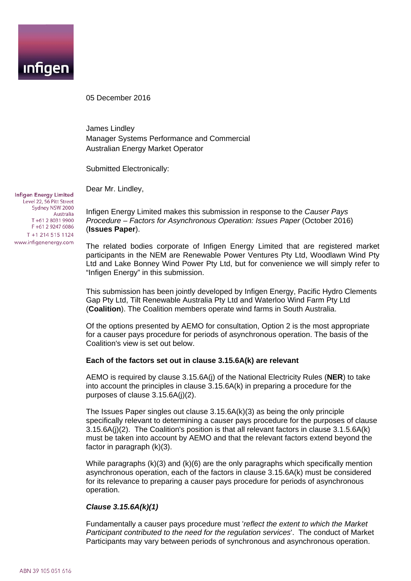

05 December 2016

James Lindley Manager Systems Performance and Commercial Australian Energy Market Operator

Submitted Electronically:

Dear Mr. Lindley,

**Infigen Energy Limited** Level 22, 56 Pitt Street Sydney NSW 2000 Australia T+61 2 8031 9900 F+61 2 9247 6086 T +1 214 515 1124 www.infigenenergy.com

Infigen Energy Limited makes this submission in response to the *Causer Pays Procedure – Factors for Asynchronous Operation: Issues Paper* (October 2016) (**Issues Paper**).

The related bodies corporate of Infigen Energy Limited that are registered market participants in the NEM are Renewable Power Ventures Pty Ltd, Woodlawn Wind Pty Ltd and Lake Bonney Wind Power Pty Ltd, but for convenience we will simply refer to "Infigen Energy" in this submission.

This submission has been jointly developed by Infigen Energy, Pacific Hydro Clements Gap Pty Ltd, Tilt Renewable Australia Pty Ltd and Waterloo Wind Farm Pty Ltd (**Coalition**). The Coalition members operate wind farms in South Australia.

Of the options presented by AEMO for consultation, Option 2 is the most appropriate for a causer pays procedure for periods of asynchronous operation. The basis of the Coalition's view is set out below.

#### **Each of the factors set out in clause 3.15.6A(k) are relevant**

AEMO is required by clause 3.15.6A(j) of the National Electricity Rules (**NER**) to take into account the principles in clause 3.15.6A(k) in preparing a procedure for the purposes of clause 3.15.6A(j)(2).

The Issues Paper singles out clause 3.15.6A(k)(3) as being the only principle specifically relevant to determining a causer pays procedure for the purposes of clause 3.15.6A(j)(2). The Coalition's position is that all relevant factors in clause 3.1.5.6A(k) must be taken into account by AEMO and that the relevant factors extend beyond the factor in paragraph (k)(3).

While paragraphs (k)(3) and (k)(6) are the only paragraphs which specifically mention asynchronous operation, each of the factors in clause 3.15.6A(k) must be considered for its relevance to preparing a causer pays procedure for periods of asynchronous operation.

#### *Clause 3.15.6A(k)(1)*

Fundamentally a causer pays procedure must '*reflect the extent to which the Market Participant contributed to the need for the regulation services*'. The conduct of Market Participants may vary between periods of synchronous and asynchronous operation.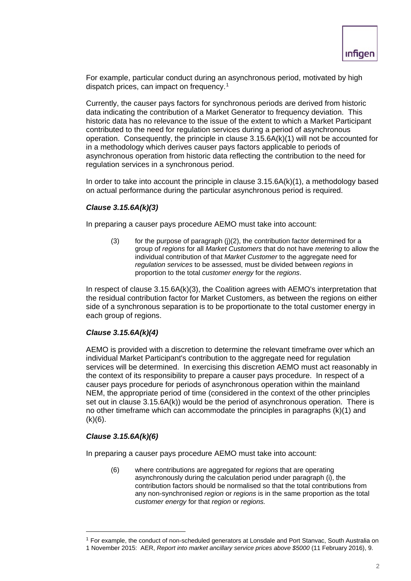For example, particular conduct during an asynchronous period, motivated by high dispatch prices, can impact on frequency.<sup>1</sup>

Currently, the causer pays factors for synchronous periods are derived from historic data indicating the contribution of a Market Generator to frequency deviation. This historic data has no relevance to the issue of the extent to which a Market Participant contributed to the need for regulation services during a period of asynchronous operation. Consequently, the principle in clause  $3.15.6A(k)(1)$  will not be accounted for in a methodology which derives causer pays factors applicable to periods of asynchronous operation from historic data reflecting the contribution to the need for regulation services in a synchronous period.

In order to take into account the principle in clause 3.15.6A(k)(1), a methodology based on actual performance during the particular asynchronous period is required.

# *Clause 3.15.6A(k)(3)*

In preparing a causer pays procedure AEMO must take into account:

(3) for the purpose of paragraph  $(i)(2)$ , the contribution factor determined for a group of *regions* for all *Market Customers* that do not have *metering* to allow the individual contribution of that *Market Customer* to the aggregate need for *regulation services* to be assessed, must be divided between *regions* in proportion to the total *customer energy* for the *regions*.

In respect of clause 3.15.6A(k)(3), the Coalition agrees with AEMO's interpretation that the residual contribution factor for Market Customers, as between the regions on either side of a synchronous separation is to be proportionate to the total customer energy in each group of regions.

## *Clause 3.15.6A(k)(4)*

AEMO is provided with a discretion to determine the relevant timeframe over which an individual Market Participant's contribution to the aggregate need for regulation services will be determined. In exercising this discretion AEMO must act reasonably in the context of its responsibility to prepare a causer pays procedure. In respect of a causer pays procedure for periods of asynchronous operation within the mainland NEM, the appropriate period of time (considered in the context of the other principles set out in clause 3.15.6A(k)) would be the period of asynchronous operation. There is no other timeframe which can accommodate the principles in paragraphs (k)(1) and  $(k)(6)$ .

# *Clause 3.15.6A(k)(6)*

In preparing a causer pays procedure AEMO must take into account:

(6) where contributions are aggregated for *regions* that are operating asynchronously during the calculation period under paragraph (i), the contribution factors should be normalised so that the total contributions from any non-synchronised *region* or *regions* is in the same proportion as the total *customer energy* for that *region* or *regions.*

<span id="page-1-0"></span> $<sup>1</sup>$  For example, the conduct of non-scheduled generators at Lonsdale and Port Stanvac, South Australia on</sup> 1 November 2015: AER, *Report into market ancillary service prices above \$5000* (11 February 2016), 9.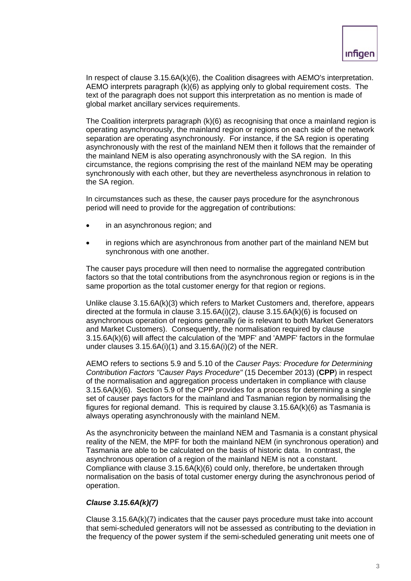In respect of clause 3.15.6A(k)(6), the Coalition disagrees with AEMO's interpretation. AEMO interprets paragraph (k)(6) as applying only to global requirement costs. The text of the paragraph does not support this interpretation as no mention is made of global market ancillary services requirements.

The Coalition interprets paragraph (k)(6) as recognising that once a mainland region is operating asynchronously, the mainland region or regions on each side of the network separation are operating asynchronously. For instance, if the SA region is operating asynchronously with the rest of the mainland NEM then it follows that the remainder of the mainland NEM is also operating asynchronously with the SA region. In this circumstance, the regions comprising the rest of the mainland NEM may be operating synchronously with each other, but they are nevertheless asynchronous in relation to the SA region.

In circumstances such as these, the causer pays procedure for the asynchronous period will need to provide for the aggregation of contributions:

- in an asynchronous region; and
- in regions which are asynchronous from another part of the mainland NEM but synchronous with one another.

The causer pays procedure will then need to normalise the aggregated contribution factors so that the total contributions from the asynchronous region or regions is in the same proportion as the total customer energy for that region or regions.

Unlike clause 3.15.6A(k)(3) which refers to Market Customers and, therefore, appears directed at the formula in clause  $3.15.6A(i)(2)$ , clause  $3.15.6A(k)(6)$  is focused on asynchronous operation of regions generally (ie is relevant to both Market Generators and Market Customers). Consequently, the normalisation required by clause 3.15.6A(k)(6) will affect the calculation of the 'MPF' and 'AMPF' factors in the formulae under clauses 3.15.6A(i)(1) and 3.15.6A(i)(2) of the NER.

AEMO refers to sections 5.9 and 5.10 of the *Causer Pays: Procedure for Determining Contribution Factors "Causer Pays Procedure"* (15 December 2013) (**CPP**) in respect of the normalisation and aggregation process undertaken in compliance with clause 3.15.6A(k)(6). Section 5.9 of the CPP provides for a process for determining a single set of causer pays factors for the mainland and Tasmanian region by normalising the figures for regional demand. This is required by clause 3.15.6A(k)(6) as Tasmania is always operating asynchronously with the mainland NEM.

As the asynchronicity between the mainland NEM and Tasmania is a constant physical reality of the NEM, the MPF for both the mainland NEM (in synchronous operation) and Tasmania are able to be calculated on the basis of historic data. In contrast, the asynchronous operation of a region of the mainland NEM is not a constant. Compliance with clause 3.15.6A(k)(6) could only, therefore, be undertaken through normalisation on the basis of total customer energy during the asynchronous period of operation.

# *Clause 3.15.6A(k)(7)*

Clause 3.15.6A(k)(7) indicates that the causer pays procedure must take into account that semi-scheduled generators will not be assessed as contributing to the deviation in the frequency of the power system if the semi-scheduled generating unit meets one of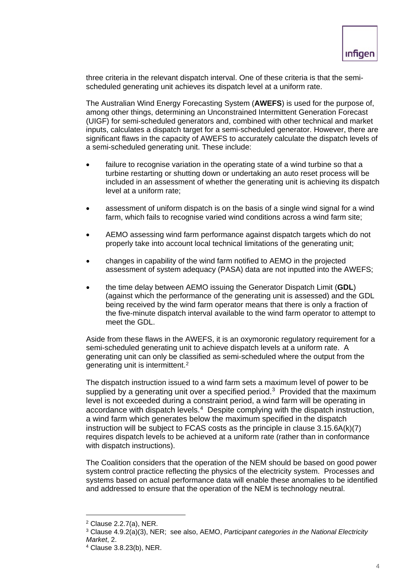three criteria in the relevant dispatch interval. One of these criteria is that the semischeduled generating unit achieves its dispatch level at a uniform rate.

The Australian Wind Energy Forecasting System (**AWEFS**) is used for the purpose of, among other things, determining an Unconstrained Intermittent Generation Forecast (UIGF) for semi-scheduled generators and, combined with other technical and market inputs, calculates a dispatch target for a semi-scheduled generator. However, there are significant flaws in the capacity of AWEFS to accurately calculate the dispatch levels of a semi-scheduled generating unit. These include:

- failure to recognise variation in the operating state of a wind turbine so that a turbine restarting or shutting down or undertaking an auto reset process will be included in an assessment of whether the generating unit is achieving its dispatch level at a uniform rate;
- assessment of uniform dispatch is on the basis of a single wind signal for a wind farm, which fails to recognise varied wind conditions across a wind farm site;
- AEMO assessing wind farm performance against dispatch targets which do not properly take into account local technical limitations of the generating unit;
- changes in capability of the wind farm notified to AEMO in the projected assessment of system adequacy (PASA) data are not inputted into the AWEFS;
- the time delay between AEMO issuing the Generator Dispatch Limit (**GDL**) (against which the performance of the generating unit is assessed) and the GDL being received by the wind farm operator means that there is only a fraction of the five-minute dispatch interval available to the wind farm operator to attempt to meet the GDL.

Aside from these flaws in the AWEFS, it is an oxymoronic regulatory requirement for a semi-scheduled generating unit to achieve dispatch levels at a uniform rate. A generating unit can only be classified as semi-scheduled where the output from the generating unit is intermittent.[2](#page-3-0)

The dispatch instruction issued to a wind farm sets a maximum level of power to be supplied by a generating unit over a specified period.<sup>3</sup> Provided that the maximum level is not exceeded during a constraint period, a wind farm will be operating in accordance with dispatch levels. [4](#page-3-2) Despite complying with the dispatch instruction, a wind farm which generates below the maximum specified in the dispatch instruction will be subject to FCAS costs as the principle in clause 3.15.6A(k)(7) requires dispatch levels to be achieved at a uniform rate (rather than in conformance with dispatch instructions).

The Coalition considers that the operation of the NEM should be based on good power system control practice reflecting the physics of the electricity system. Processes and systems based on actual performance data will enable these anomalies to be identified and addressed to ensure that the operation of the NEM is technology neutral.

<span id="page-3-0"></span> <sup>2</sup> Clause 2.2.7(a), NER.

<span id="page-3-1"></span><sup>3</sup> Clause 4.9.2(a)(3), NER; see also, AEMO, *Participant categories in the National Electricity Market*, 2.

<span id="page-3-2"></span><sup>4</sup> Clause 3.8.23(b), NER.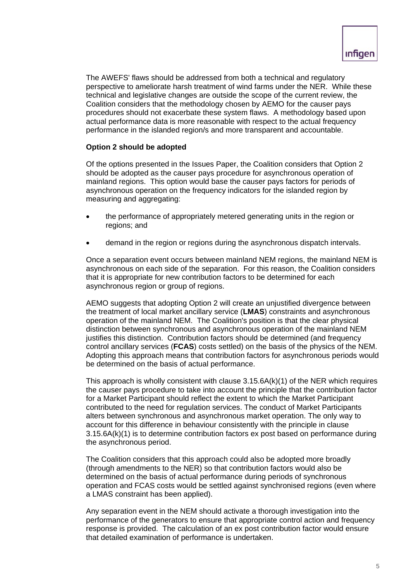The AWEFS' flaws should be addressed from both a technical and regulatory perspective to ameliorate harsh treatment of wind farms under the NER. While these technical and legislative changes are outside the scope of the current review, the Coalition considers that the methodology chosen by AEMO for the causer pays procedures should not exacerbate these system flaws. A methodology based upon actual performance data is more reasonable with respect to the actual frequency performance in the islanded region/s and more transparent and accountable.

## **Option 2 should be adopted**

Of the options presented in the Issues Paper, the Coalition considers that Option 2 should be adopted as the causer pays procedure for asynchronous operation of mainland regions. This option would base the causer pays factors for periods of asynchronous operation on the frequency indicators for the islanded region by measuring and aggregating:

- the performance of appropriately metered generating units in the region or regions; and
- demand in the region or regions during the asynchronous dispatch intervals.

Once a separation event occurs between mainland NEM regions, the mainland NEM is asynchronous on each side of the separation. For this reason, the Coalition considers that it is appropriate for new contribution factors to be determined for each asynchronous region or group of regions.

AEMO suggests that adopting Option 2 will create an unjustified divergence between the treatment of local market ancillary service (**LMAS**) constraints and asynchronous operation of the mainland NEM. The Coalition's position is that the clear physical distinction between synchronous and asynchronous operation of the mainland NEM justifies this distinction. Contribution factors should be determined (and frequency control ancillary services (**FCAS**) costs settled) on the basis of the physics of the NEM. Adopting this approach means that contribution factors for asynchronous periods would be determined on the basis of actual performance.

This approach is wholly consistent with clause 3.15.6A(k)(1) of the NER which requires the causer pays procedure to take into account the principle that the contribution factor for a Market Participant should reflect the extent to which the Market Participant contributed to the need for regulation services. The conduct of Market Participants alters between synchronous and asynchronous market operation. The only way to account for this difference in behaviour consistently with the principle in clause 3.15.6A(k)(1) is to determine contribution factors ex post based on performance during the asynchronous period.

The Coalition considers that this approach could also be adopted more broadly (through amendments to the NER) so that contribution factors would also be determined on the basis of actual performance during periods of synchronous operation and FCAS costs would be settled against synchronised regions (even where a LMAS constraint has been applied).

Any separation event in the NEM should activate a thorough investigation into the performance of the generators to ensure that appropriate control action and frequency response is provided. The calculation of an ex post contribution factor would ensure that detailed examination of performance is undertaken.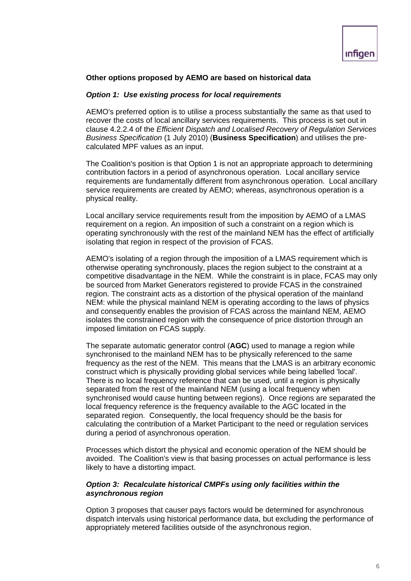## **Other options proposed by AEMO are based on historical data**

#### *Option 1: Use existing process for local requirements*

AEMO's preferred option is to utilise a process substantially the same as that used to recover the costs of local ancillary services requirements. This process is set out in clause 4.2.2.4 of the *Efficient Dispatch and Localised Recovery of Regulation Services Business Specification* (1 July 2010) (**Business Specification**) and utilises the precalculated MPF values as an input.

The Coalition's position is that Option 1 is not an appropriate approach to determining contribution factors in a period of asynchronous operation. Local ancillary service requirements are fundamentally different from asynchronous operation. Local ancillary service requirements are created by AEMO; whereas, asynchronous operation is a physical reality.

Local ancillary service requirements result from the imposition by AEMO of a LMAS requirement on a region. An imposition of such a constraint on a region which is operating synchronously with the rest of the mainland NEM has the effect of artificially isolating that region in respect of the provision of FCAS.

AEMO's isolating of a region through the imposition of a LMAS requirement which is otherwise operating synchronously, places the region subject to the constraint at a competitive disadvantage in the NEM. While the constraint is in place, FCAS may only be sourced from Market Generators registered to provide FCAS in the constrained region. The constraint acts as a distortion of the physical operation of the mainland NEM: while the physical mainland NEM is operating according to the laws of physics and consequently enables the provision of FCAS across the mainland NEM, AEMO isolates the constrained region with the consequence of price distortion through an imposed limitation on FCAS supply.

The separate automatic generator control (**AGC**) used to manage a region while synchronised to the mainland NEM has to be physically referenced to the same frequency as the rest of the NEM. This means that the LMAS is an arbitrary economic construct which is physically providing global services while being labelled 'local'. There is no local frequency reference that can be used, until a region is physically separated from the rest of the mainland NEM (using a local frequency when synchronised would cause hunting between regions). Once regions are separated the local frequency reference is the frequency available to the AGC located in the separated region. Consequently, the local frequency should be the basis for calculating the contribution of a Market Participant to the need or regulation services during a period of asynchronous operation.

Processes which distort the physical and economic operation of the NEM should be avoided. The Coalition's view is that basing processes on actual performance is less likely to have a distorting impact.

### *Option 3: Recalculate historical CMPFs using only facilities within the asynchronous region*

Option 3 proposes that causer pays factors would be determined for asynchronous dispatch intervals using historical performance data, but excluding the performance of appropriately metered facilities outside of the asynchronous region.